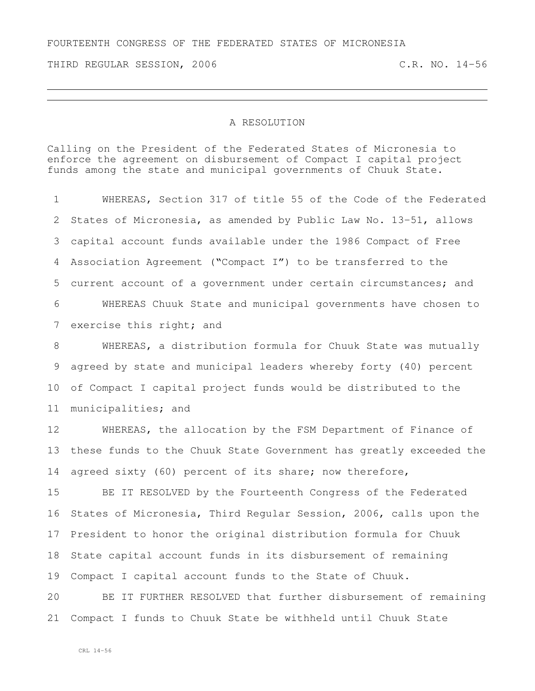THIRD REGULAR SESSION, 2006 C.R. NO. 14-56

## A RESOLUTION

Calling on the President of the Federated States of Micronesia to enforce the agreement on disbursement of Compact I capital project funds among the state and municipal governments of Chuuk State.

 WHEREAS, Section 317 of title 55 of the Code of the Federated States of Micronesia, as amended by Public Law No. 13-51, allows capital account funds available under the 1986 Compact of Free Association Agreement ("Compact I") to be transferred to the current account of a government under certain circumstances; and WHEREAS Chuuk State and municipal governments have chosen to 7 exercise this right; and WHEREAS, a distribution formula for Chuuk State was mutually agreed by state and municipal leaders whereby forty (40) percent of Compact I capital project funds would be distributed to the municipalities; and

 WHEREAS, the allocation by the FSM Department of Finance of these funds to the Chuuk State Government has greatly exceeded the agreed sixty (60) percent of its share; now therefore,

 BE IT RESOLVED by the Fourteenth Congress of the Federated States of Micronesia, Third Regular Session, 2006, calls upon the President to honor the original distribution formula for Chuuk State capital account funds in its disbursement of remaining Compact I capital account funds to the State of Chuuk.

 BE IT FURTHER RESOLVED that further disbursement of remaining Compact I funds to Chuuk State be withheld until Chuuk State